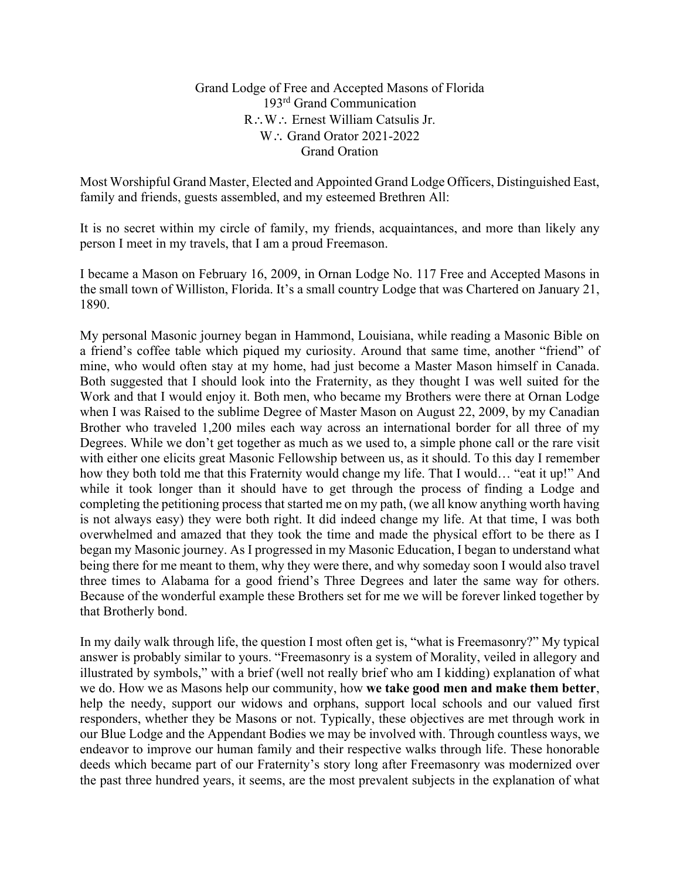## Grand Lodge of Free and Accepted Masons of Florida 193rd Grand Communication R∴W∴ Ernest William Catsulis Jr. W∴ Grand Orator 2021-2022 Grand Oration

Most Worshipful Grand Master, Elected and Appointed Grand Lodge Officers, Distinguished East, family and friends, guests assembled, and my esteemed Brethren All:

It is no secret within my circle of family, my friends, acquaintances, and more than likely any person I meet in my travels, that I am a proud Freemason.

I became a Mason on February 16, 2009, in Ornan Lodge No. 117 Free and Accepted Masons in the small town of Williston, Florida. It's a small country Lodge that was Chartered on January 21, 1890.

My personal Masonic journey began in Hammond, Louisiana, while reading a Masonic Bible on a friend's coffee table which piqued my curiosity. Around that same time, another "friend" of mine, who would often stay at my home, had just become a Master Mason himself in Canada. Both suggested that I should look into the Fraternity, as they thought I was well suited for the Work and that I would enjoy it. Both men, who became my Brothers were there at Ornan Lodge when I was Raised to the sublime Degree of Master Mason on August 22, 2009, by my Canadian Brother who traveled 1,200 miles each way across an international border for all three of my Degrees. While we don't get together as much as we used to, a simple phone call or the rare visit with either one elicits great Masonic Fellowship between us, as it should. To this day I remember how they both told me that this Fraternity would change my life. That I would… "eat it up!" And while it took longer than it should have to get through the process of finding a Lodge and completing the petitioning process that started me on my path, (we all know anything worth having is not always easy) they were both right. It did indeed change my life. At that time, I was both overwhelmed and amazed that they took the time and made the physical effort to be there as I began my Masonic journey. As I progressed in my Masonic Education, I began to understand what being there for me meant to them, why they were there, and why someday soon I would also travel three times to Alabama for a good friend's Three Degrees and later the same way for others. Because of the wonderful example these Brothers set for me we will be forever linked together by that Brotherly bond.

In my daily walk through life, the question I most often get is, "what is Freemasonry?" My typical answer is probably similar to yours. "Freemasonry is a system of Morality, veiled in allegory and illustrated by symbols," with a brief (well not really brief who am I kidding) explanation of what we do. How we as Masons help our community, how **we take good men and make them better**, help the needy, support our widows and orphans, support local schools and our valued first responders, whether they be Masons or not. Typically, these objectives are met through work in our Blue Lodge and the Appendant Bodies we may be involved with. Through countless ways, we endeavor to improve our human family and their respective walks through life. These honorable deeds which became part of our Fraternity's story long after Freemasonry was modernized over the past three hundred years, it seems, are the most prevalent subjects in the explanation of what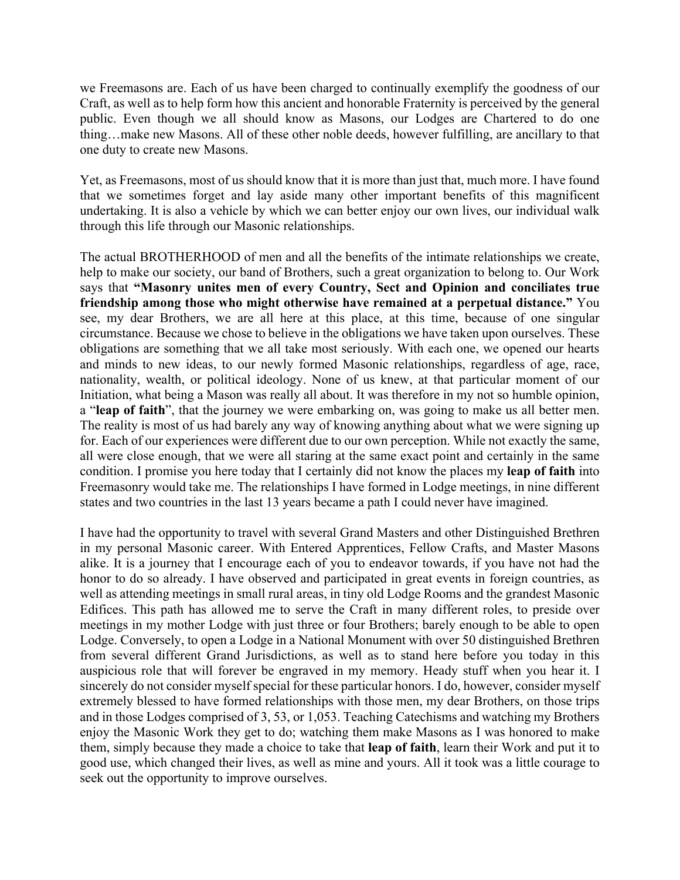we Freemasons are. Each of us have been charged to continually exemplify the goodness of our Craft, as well as to help form how this ancient and honorable Fraternity is perceived by the general public. Even though we all should know as Masons, our Lodges are Chartered to do one thing…make new Masons. All of these other noble deeds, however fulfilling, are ancillary to that one duty to create new Masons.

Yet, as Freemasons, most of us should know that it is more than just that, much more. I have found that we sometimes forget and lay aside many other important benefits of this magnificent undertaking. It is also a vehicle by which we can better enjoy our own lives, our individual walk through this life through our Masonic relationships.

The actual BROTHERHOOD of men and all the benefits of the intimate relationships we create, help to make our society, our band of Brothers, such a great organization to belong to. Our Work says that **"Masonry unites men of every Country, Sect and Opinion and conciliates true friendship among those who might otherwise have remained at a perpetual distance."** You see, my dear Brothers, we are all here at this place, at this time, because of one singular circumstance. Because we chose to believe in the obligations we have taken upon ourselves. These obligations are something that we all take most seriously. With each one, we opened our hearts and minds to new ideas, to our newly formed Masonic relationships, regardless of age, race, nationality, wealth, or political ideology. None of us knew, at that particular moment of our Initiation, what being a Mason was really all about. It was therefore in my not so humble opinion, a "**leap of faith**", that the journey we were embarking on, was going to make us all better men. The reality is most of us had barely any way of knowing anything about what we were signing up for. Each of our experiences were different due to our own perception. While not exactly the same, all were close enough, that we were all staring at the same exact point and certainly in the same condition. I promise you here today that I certainly did not know the places my **leap of faith** into Freemasonry would take me. The relationships I have formed in Lodge meetings, in nine different states and two countries in the last 13 years became a path I could never have imagined.

I have had the opportunity to travel with several Grand Masters and other Distinguished Brethren in my personal Masonic career. With Entered Apprentices, Fellow Crafts, and Master Masons alike. It is a journey that I encourage each of you to endeavor towards, if you have not had the honor to do so already. I have observed and participated in great events in foreign countries, as well as attending meetings in small rural areas, in tiny old Lodge Rooms and the grandest Masonic Edifices. This path has allowed me to serve the Craft in many different roles, to preside over meetings in my mother Lodge with just three or four Brothers; barely enough to be able to open Lodge. Conversely, to open a Lodge in a National Monument with over 50 distinguished Brethren from several different Grand Jurisdictions, as well as to stand here before you today in this auspicious role that will forever be engraved in my memory. Heady stuff when you hear it. I sincerely do not consider myself special for these particular honors. I do, however, consider myself extremely blessed to have formed relationships with those men, my dear Brothers, on those trips and in those Lodges comprised of 3, 53, or 1,053. Teaching Catechisms and watching my Brothers enjoy the Masonic Work they get to do; watching them make Masons as I was honored to make them, simply because they made a choice to take that **leap of faith**, learn their Work and put it to good use, which changed their lives, as well as mine and yours. All it took was a little courage to seek out the opportunity to improve ourselves.